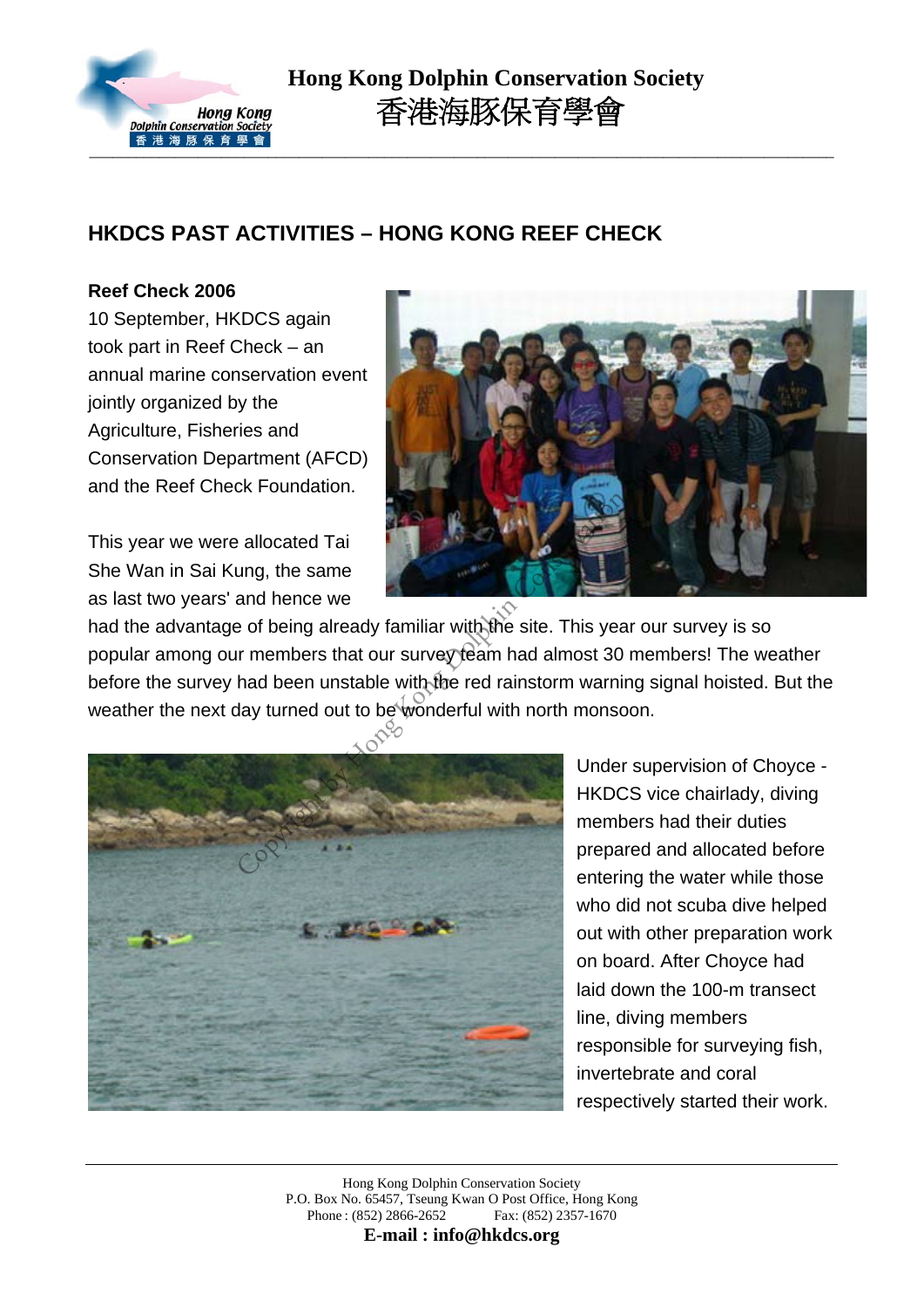

 **Hong Kong Dolphin Conservation Society** 香港海豚保育學會

### **HKDCS PAST ACTIVITIES – HONG KONG REEF CHECK**

#### **Reef Check 2006**

10 September, HKDCS again took part in Reef Check – an annual marine conservation event jointly organized by the Agriculture, Fisheries and Conservation Department (AFCD) and the Reef Check Foundation.

This year we were allocated Tai She Wan in Sai Kung, the same as last two years' and hence we



had the advantage of being already familiar with the site. This year our survey is so popular among our members that our survey team had almost 30 members! The weather before the survey had been unstable with the red rainstorm warning signal hoisted. But the weather the next day turned out to be wonderful with north monsoon.



Under supervision of Choyce - HKDCS vice chairlady, diving members had their duties prepared and allocated before entering the water while those who did not scuba dive helped out with other preparation work on board. After Choyce had laid down the 100-m transect line, diving members responsible for surveying fish, invertebrate and coral respectively started their work.

Hong Kong Dolphin Conservation Society P.O. Box No. 65457, Tseung Kwan O Post Office, Hong Kong Phone : (852) 2866-2652 Fax: (852) 2357-1670

**E-mail : info@hkdcs.org**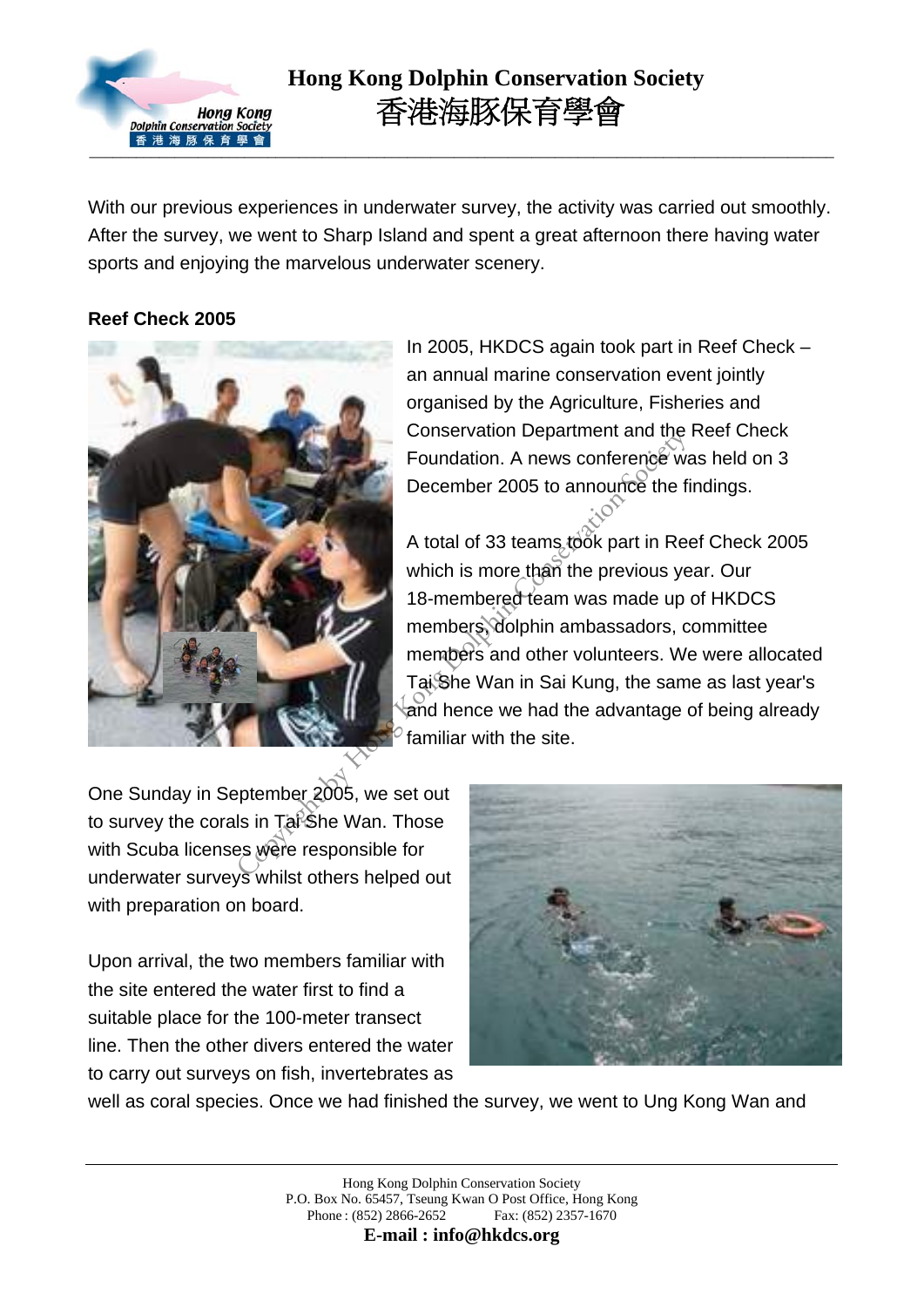

## **Hong Kong Dolphin Conservation Society** 香港海豚保育學會

With our previous experiences in underwater survey, the activity was carried out smoothly. After the survey, we went to Sharp Island and spent a great afternoon there having water sports and enjoying the marvelous underwater scenery.

#### **Reef Check 2005**



In 2005, HKDCS again took part in Reef Check – an annual marine conservation event jointly organised by the Agriculture, Fisheries and Conservation Department and the Reef Check Foundation. A news conference was held on 3 December 2005 to announce the findings.

A total of 33 teams took part in Reef Check 2005 which is more than the previous year. Our 18-membered team was made up of HKDCS members, dolphin ambassadors, committee members and other volunteers. We were allocated Tai She Wan in Sai Kung, the same as last year's and hence we had the advantage of being already familiar with the site. Conservation Department and the<br>Foundation. A news conference we<br>December 2005 to announce the fi<br>A total of 33 teams took part in Re<br>which is more than the previous ye<br>18-membered team was made up<br>members dolphin ambassad

One Sunday in September 2005, we set out to survey the corals in Tal She Wan. Those with Scuba licenses were responsible for underwater surveys whilst others helped out with preparation on board.

Upon arrival, the two members familiar with the site entered the water first to find a suitable place for the 100-meter transect line. Then the other divers entered the water to carry out surveys on fish, invertebrates as



well as coral species. Once we had finished the survey, we went to Ung Kong Wan and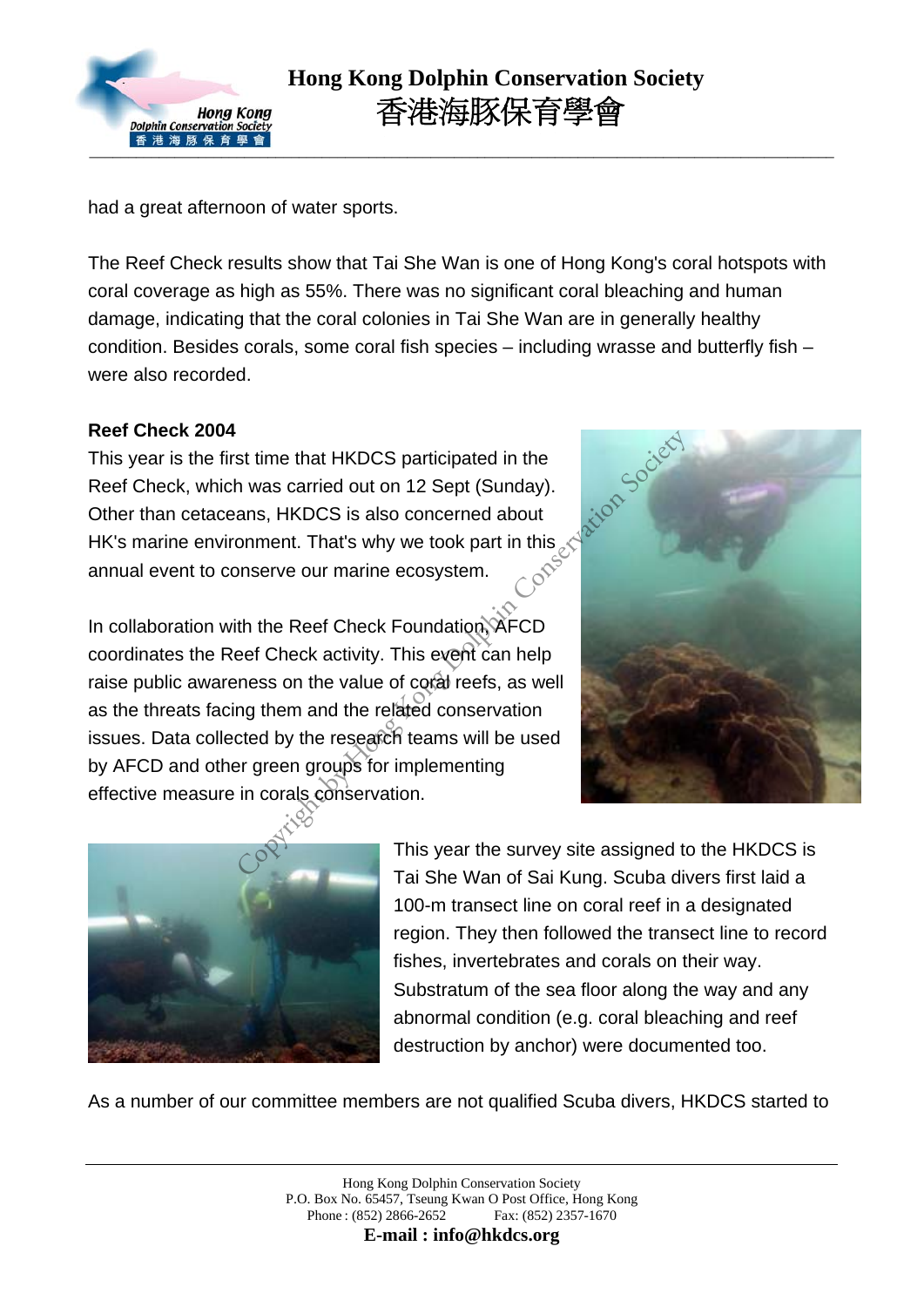

had a great afternoon of water sports.

The Reef Check results show that Tai She Wan is one of Hong Kong's coral hotspots with coral coverage as high as 55%. There was no significant coral bleaching and human damage, indicating that the coral colonies in Tai She Wan are in generally healthy condition. Besides corals, some coral fish species – including wrasse and butterfly fish – were also recorded.

#### **Reef Check 2004**

This year is the first time that HKDCS participated in the Reef Check, which was carried out on 12 Sept (Sunday). Other than cetaceans, HKDCS is also concerned about HK's marine environment. That's why we took part in this annual event to conserve our marine ecosystem.



In collaboration with the Reef Check Foundation, AFCD coordinates the Reef Check activity. This event can help raise public awareness on the value of coral reefs, as well as the threats facing them and the related conservation issues. Data collected by the research teams will be used by AFCD and other green groups for implementing effective measure in corals conservation. of time that HKDCS participated in the<br>
the was carried out on 12 Sept (Sunday).<br>
ans, HKDCS is also concerned about<br>
onment. That's why we took part in this section<br>
onserve our marine ecosystem.<br>
the Reef Check Foundatio



This year the survey site assigned to the HKDCS is Tai She Wan of Sai Kung. Scuba divers first laid a 100-m transect line on coral reef in a designated region. They then followed the transect line to record fishes, invertebrates and corals on their way. Substratum of the sea floor along the way and any abnormal condition (e.g. coral bleaching and reef destruction by anchor) were documented too.

As a number of our committee members are not qualified Scuba divers, HKDCS started to

**E-mail : info@hkdcs.org**